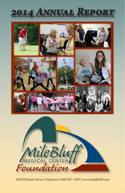# **2014 ANNUAL REPOR**





1050 Division Street | Mauston | 608-847-1495 | www.milebluff .com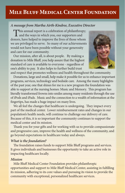# **Mile Bluff Medical Center Foundation**

### *A message from Martha Airth-Kindree, Executive Director*

This annual report is a celebration of philanthropy;<br>and the ways in which you, our supporters and donors, have helped to improve the lives of those whom we are privileged to serve. So many of our achievements would not have been possible without your generosity and care for our community.

Our mission, after all, is about people. By making a donation to Mile Bluff, you help assure that the highest standard of care is available to everyone - regardless of one's ability to pay. It also helps to further build trust



and respect that promotes wellness and health throughout the community. Donations, large and small, help make it possible for us to enhance important programs, services, technology and bedside care. Among the many highlights of the past year, one that shines for me is a new program the foundation was able to support at the nursing homes: Music and Memory. This program has literally transformed frowns into smiles among many residents through the use of iPods and iPads. Music and the connection to a wealth of information at the fingertips, has made a huge impact on many lives.

We all feel the changes that healthcare is undergoing. They impact every part of the medical center. Lower reimbursement rates and changes in our population's health needs, will continue to challenge our delivery of care. Because of this, it is so important the community continues to support the medical center and its mission.

Thank you for your gifts and for working with us to provide compassionate and progressive care, improve the health and wellness of the community, and go beyond expectations in healthcare today and always.

#### *What is the foundation?*

The foundation raises funds to support Mile Bluff programs and services. It gives individuals and businesses the opportunity to take an active role in impacting healthcare locally.

#### *Mission*

Mile Bluff Medical Center Foundation provides philanthropic opportunities and support to Mile Bluff Medical Center, assisting in fulfilling its mission, adhering to its core values and pursuing its vision to provide the community with exceptional, personalized healthcare services.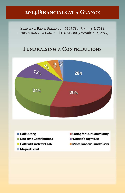# **2014 Financials at a Glance**

**Starting Bank Balance:** \$133,784 *(January 1, 2014)* **Ending Bank Balance:** \$156,619.80 *(December 31, 2014)*

# **Fundraising & Contributions**



- Golf Outing
- One-time Contributions
- Golf Ball Crash for Cash
- **Magical Event**
- Caring for Our Community
- Women's Night Out
- Miscellaneous Fundraisers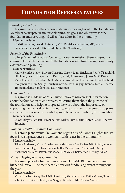#### *Board of Directors*

This group serves as the corporate, decision-making board of the foundation. Members participate in strategic planning, set goals and objectives for the foundation and serve as good will ambassadors in the community.

#### **Members include:**

Christine Carter; David Hoffmann, MD; Daniel Kattenbraker, MD; Sandy Linsmeyer; James M. O'Keefe; Molly Scully; Nora Scully

#### *Friends of the Foundation*

To help Mile Bluff Medical Center carry out its mission, there is a group of community members that assists the foundation with fundraising, community awareness and planning.

#### **Members include:**

Kathy Behnke; Shawn Bloyer; Christine Carter; Lynn Erickson; Rev. Jeff Fairchild; Jill Finley; Leanna Hagen; Ann Kerian; Sandy Linsmeyer; James M. O'Keefe; Mary Raabe; Leon Radant, MD; Marlene Rosenberg; Kari Schmidt; Scott Schuld; Molly Scully; Nora Scully; Terrilynn Strode; Jean Surguy; Brenda Totzke; Theresa Tremain; Elaine Vanderslice; Jack Waterman

#### *Ambassadors*

This group is made up of Mile Bluff employees who present information about the foundation to co-workers, educating them about the purpose of the foundation, and helping to spread the word about the importance of supporting the medical center through giving initiatives. The group also plans and organizes various fun events to promote, or raise funds for, the foundation.

#### **Members include:**

Shawn Bloyer; Rev. Jeff Fairchild; Ruth Kirby; Ruth Martin; Karen Patton; Theresa Tremain

#### *Women's Health Initiative Committee*

This group plans events like Women's Night Out and Tweens' Night Out. Its focus is raising awareness to women's health issues in the community.

#### **Members include:**

Tiffany Anderson; Mary Crowley; Amanda Emery; Sue Fabian; Nikki Field; Jennifer Froh; Leanna Hagen; Shari Hanson; Kathy Marose; Sandi McGonigle; Kathy Metzenbauer; Karen Patton; Sue Wafle; Kim Walsh-Betthauser; Merikay Willer

#### *Nurses Helping Nurses Committee*

This group provides tuition reimbursement to Mile Bluff nurses seeking higher education. The members plan various fundraising events throughout the year.

#### **Members include:**

Mary Crowley; Stacey Hohl; Nikki Justman; Rhonda Larson; Kathy Marose; Tammy Schreiner; Terrilynn Strode; Jean Surguy; Brenda Totzke; Sherise Vaassen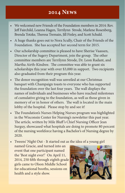# **2014 News**

- We welcomed new Friends of the Foundation members in 2014: Rev. Jeff Fairchild, Leanna Hagen, Terrilynn Strode, Marlene Rosenberg, Brenda Totzke, Theresa Tremain, Jill Finley, and Scott Schuld.
- A huge thanks goes out to Nora Scully, Chair of the Friends of the Foundation. She has accepted her second term for 2015.
- Our scholarship committee is pleased to have Sherise Vaassen, Director of the Sugery Department, join the group. The other committee members are Terrilynn Strode, Dr. Leon Radant, and Martha Airth-Kindree. The committee was able to grant six scholarships this year with over \$3,000 in support. Two recipients also graduated from their program this year.
- The donor recognition wall was unveiled at our Christmas banquet with Champaign toasts to everyone who has supported the foundation over the last four years. The wall displays the names of individuals and businesses who have reached milestones of cumulative giving to the foundation, as well as those given in memory of or in honor of others. The wall is located in the main lobby of the hospital. Please stop by and see it!
- The Foundation's Nurses Helping Nurses program was highlighted in the Wisconsin Center for Nursing's newsletter this past year. The article, written by Mile Bluff's Chief Nursing Officer Jean Surguy, showcased what hospitals are doing to promote 80 percent of the nursing workforce having a Bachelor's of Nursing degree by 2020.
- Tweens' Night Out It started out as the idea of a young girl named Gracie, and turned into an event that one participant named the 'Best night ever!' On April 11, 2014, 250 fifth through eighth grade girls came to Olson Middle School for educational booths, sessions on health and a style show.

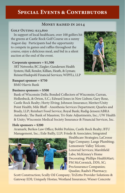# **Special Events & Contributors**

# **Money raised in 2014**

#### **Golf Outing: \$23,600**

In support of local healthcare, over 100 golfers hit the greens at Castle Rock Golf Course on a sunny August day. Participants had the opportunity to compete in games and raffles throughout the course, enjoy a delicious meal, and bid in a silent auction at the end of the event.

#### **Corporate sponsors = \$1,500**

3RT Networks; BC Ziegler; Gundersen Health System; Hall, Render, Killian, Heath, & Lyman; ReisnerHudepohl Financial Services; WIPFLi, LLP

**Banquet sponsor = \$750** BMO Harris Bank

#### **Business sponsors = \$500**

Bank of Wisconsin Dells; Bonded Collectors of Wisconsin; Curran, Hollenbeck, & Orton, S.C.; Edward Jones in New Lisbon; Gary Rose, Castle Rock Realty; Horty Elving; Johnson Insurance; Meriter/Unity Point Health; Mile Bluff - Anesthesia Services Department; Quarles and Brady, LLP; Reinhart Food Service; Royal Bank; Rudig-Jensen/ABRA Autobody; The Bank of Mauston; Tri-State Adjustments, Inc.; UW Health & Unity; Wisconsin Medical Society Insurance & Financial Services, Inc.

#### **Hole sponsors = \$200**

Aramark; Berkos Law Office; Bobbi Perkins, Castle Rock Realty; BTU Management, Inc.; Eide Bailly, LLP; Friede & Associates; Integrated



Healthcare Strategies; LaCrosse Sign Company; Lange Plumbing; Lemonweir Valley Telcom; Lenorud Services; Marshfield Labs; McKinney's Home Decorating; Phillips HealthMart; PM McCormick, DDS, SC; ProAssurance Companies; Quadax; Raabe's Pharmacy;

Scott Construction; Scully Oil Company; TriZetto Provider Solutions & Gateway EDI; Uniquely Hostas; Westland Insurance; Wieser Concrete

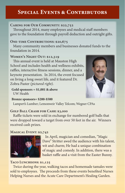# **Special Events & Contributors**

### **Caring for Our Community: \$22,752**

Throughout 2014, many employees and medical staff members gave to the foundation through payroll deduction and outright gifts.

#### **ONE-TIME CONTRIBUTIONS: \$20,675**

Many community members and businesses donated funds to the foundation in 2014.

# **Women's Night Out: \$12,319**

This annual event is held at Mauston High School and includes health and wellness exhibits, raffles, interactive fitness sessions, dinner, and a keynote presentation. In 2014, the event focused on living a long sweet life, and it featured Dr. Zobra Paster *(pictured right).*

**Gold sponsors = \$1,001 & above** UW Health

#### **Bronze sponsors= \$200-\$500**

Lampert's Lumber; Lemonweir Valley Telcom; Wegner CPAs

### **Golf Ball Crash for Cash: \$3,000**

Raffle tickets were sold in exchange for numbered golf balls that were dropped toward a target from over 50 feet in the air. Winners received cash prizes.

#### **Magical Event: \$2,742**



In April, magician and comedian, "Magic Dave" Stritter awed the audience with his talent, wit and charm; He had a unique combination of magic and comedy. In addition, there was a basket raffle and a visit from the Easter Bunny.

#### TACO LUNCHEONS: \$1,125

Twice during the year, walking tacos and homemade tamales were sold to employees. The proceeds from these events benefited Nurses Helping Nurses and the Acute Care Department's Healing Garden.

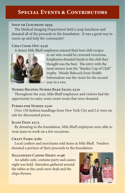# **Special Events & Contributors**

# **SOUP-ER LUNCHEON: \$959**

The Medical Imaging Department held a soup luncheon and donated all of the proceeds to the foundation. It was a great way to warm up and help the community!

### **Chili Cook-Off: \$556**

A dozen Mile Bluff employees entered their best chili recipes



to see who would be crowned victorious. Employees donated funds to the chili they thought was the best. The entry with the most money won the "Stanley Cup of Chili" trophy. Wendy Babcock from Health Information was the victor for the second year in a row.

# **Nurses Helping Nurses Bake Sales: \$320**

Throughout the year, Mile Bluff employees and visitors had the opportunity to enjoy some sweet treats that were donated.

#### **Purses for Nurses: \$300**

Over 150 fashion handbags from New York City and LA were on sale for discounted prices.

#### **Jeans Days: \$275**

By donating to the foundation, Mile Bluff employees were able to wear jeans to work on a few occasions.

#### **Craft Fairs: \$280**

Local crafters and merchants sold items at Mile Bluff. Vendors donated a portion of their proceeds to the foundation.

#### **Halloween Casino Night: \$196**

An adults-only, costume party and casino night was held. Attendees gathered around the tables as the cards were dealt and the chips thrown.

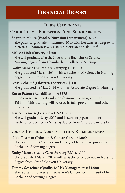# **Financial Report**

# FUNDS USED IN 2014

# **Carol Purvis Education Fund Scholarships**

# **Shannon Moore (Food & Nutrition Department): \$1,000**

She plans to graduate in summer, 2016 with her masters degree in dietetics. Shannon is a registered dietitian at Mile Bluff.

#### **Melissa Holt (Surgery): \$500**

She will graduate March, 2016 with a Bachelor of Science in Nursing degree from Chamberlain College of Nursing.

### **Kathy Marose (Acute Care, Surgery, ER): \$500**

She graduated March, 2014 with a Bachelor of Science in Nursing degree from Grand Canyon University.

**Kristi Schrimf (Obstetrics Services): \$500** She graduated in May, 2014 with her Associate Degree in Nursing.

#### **Karen Patton (Rehabilitation): \$375**

Funds were used to attend a professional training seminar in Tai Chi. This training will be used in falls prevention and other programs.

# **Jessica Tremain (Fair View CNA): \$350**

She will graduate May, 2017 and is currently pursuing her Bachelor of Science in Nursing degree from Viterbo University.

# **Nurses Helping Nurses Tuition Reimbursement**

**Nikki Justman (Infusion & Cancer Care): \$1,000** She is attending Chamberlain College of Nursing in pursuit of her Bachelor of Nursing degree.

# **Kathy Marose (Acute Care, Surgery ER): \$1,000**

She graduated March, 2014 with a Bachelor of Science in Nursing degree from Grand Canyon University.

# **Tammy Schreiner (Quality & Risk Management): \$1,000** She is attending Western Governor's University in pursuit of her Bachelor of Nursing Degree.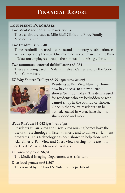# **Financial Report**

# **Equipment Purchases**

**Two MeidMark podiatry chairs: \$8,956**

These chairs are used at Mile Bluff Clinic and Elroy Family Medical Center.

# **Two treadmills: \$5,640**

These treadmills are used in cardiac and pulmonary rehabilitation, as well as respiratory therapy. One machine was purchased by The Bank of Mauston employees through their annual fundraising efforts.

### Two automated external defibrillators: \$3,084

These are being used in Mile Bluff Sleep Center, and by the Code Blue Committee.

# **EZ Way Shower Trolley: \$8,991** *(pictured below)*



Residents at Fair View Nursing Home now have access to a new portable shower/bathtub trolley. The item is used for residents who are bedridden or who cannot sit up in the bathtub or shower. Once in the trolley, residents can be bathed, soaked in water, have their hair shampooed and more.

# **iPads & iPods: \$1,642** *(pictured right)*

Residents at Fair View and Crest View nursing homes have the use of this technology to listen to music and to utilize enrichment programs. This technology has been shown to help those with Alzheimer's. Fair View and Crest View nursing home are now certified "Music & Memory" facilities.

# **Ultrasound probe: \$6,840**

The Medical Imaging Department uses this item.

# **Dice food processor:\$1,507**

This is used by the Food & Nutrition Department.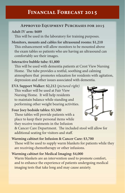# **Financial Forecast 2015**

# **Approved Equipment Purchases for 2015**

### **Adult IV arm: \$689**

This will be used in the laboratory for training purposes.

**Monitors, mounts and cables for ultrasound rooms: \$1,210** This enhancement will allow monitors to be mounted above the exam tables so patients who are having an ultrasound can comfortably see their images.

### **Interactive bubble tube: \$1,800**

This will be used with dementia patients at Crest View Nursing Home. The tube provides a restful, soothing and calming atmosphere that promotes relaxation for residents with agitation, depression and other issues associated with dementia.

**EVA Support Walker: \$2,212** *(pictured right)* This walker will be used at Fair View Nursing Home. It will help residents to maintain balance while standing and performing other weight bearing activities.

### **Four Joey bedside tables: \$3,500**

These tables will provide patients with a place to keep their personal items while they receive treatments in the Infusion



& Cancer Care Department. The included stool will allow for additional seating for visitors and staff.

**Warming cabinet for Infusion & Cancer Care: \$3,700** These will be used to supply warm blankets for patients while they are receiving chemotherapy or other infusions.

# **Warming cabinet for Medical Imaging: \$4,000**

Warm blankets are an intervention used to promote comfort, and to enhance the experience of patients undergoing medical imaging tests that take long and may cause anxiety.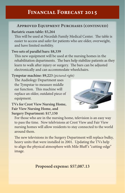# **Financial Forecast 2015**

# **Approved Equipment Purchases (continued)**

#### **Bariatric exam table: \$5,264**

This will be used at Necedah Family Medical Center. The table is easier to access and safer for patients who are older, overweight, and have limited mobility.

### **Two sets of parallel bars: \$8,339**

This new equipment will be used at the nursing homes in the rehabilitation departments. The bars help stabilize patients as they learn to walk after injury or surgery. The bars can be adjusted electronically and can accommodate wheelchairs.

### **Tympstar machine: \$9,223** *(pictured right)*

The Audiology Department uses the Tympstar to measure middle ear function. This machine will replace an older, outdated piece of equipment.



# **TVs for Crest View Nursing Home, Fair View Nursing Home, and Surgery Department: \$17,150**

For those who are in the nursing home, television is an easy way to pass the time. New telelvisions at Crest View and Fair View nursing homes will allow residents to stay connected to the world around them.

The new televisions in the Surgery Department will replace bulky, heavy units that were installed in 2001. Updating the TVs help to align the physical atmosphere with Mile Bluff's "cutting-edge" image.

**Proposed expense: \$57,087.13**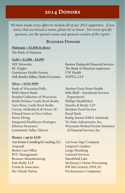We have made every effort to include all of our 2014 supporters. If you *notice that we missed a name, please let us know. For event-specific sponsors, see the special events and sponsors section of the report.*

### **Business Donors**

#### **Platinum = \$5,000 & above** The Bank of Mauston

#### **Gold = \$1,000 - \$4,999**

3RT Networks BC Ziegler Gundersen Health System Hall, Render, Killian, Heath & Lymann

#### **Silver = \$250-\$999**

Bank of Wisconsin Dells BMO Harris Bank Bonded Collectors of Wisconsin Bobbi Perkins, Castle Rock Realty Gary Rose, Castle Rock Realty Curran, Hollenbeck & Orton, SC Edward Jones in New Lisbon Horty Elving Integrated Healthcare Strategies Johnson Insurance Lemonweir Valley Telcom

#### **Bronze = up to \$249**

Ann Kerian: Consulting & Coaching, LLC Aramark Berkos Law Office BTU Management Brunner Manufacturing Eide Bailly, LLP Friede & Associates Ho-Chunk Nation

Reisner Hudepohl Financial Services The Bank of Mauston employees UW Health WIPFLi, LLP

Meriter/Unity Point Health Mile Bluff - Anesthesia Services Department\* Phillips HealthMart Quarles & Brady, LLP Reinhart Food Service Royal Bank Rudig-Jensen/ABRA Autobody Tri-State Adjustments, Inc. Wisconsin Medical Society Insurance & Financial Services, Inc.

LaCrosse Sign Company Lampert's Lumber Lange Plumbing Lenorud Services Marshfield Labs McKinney's Home Decorating PM McCormick, DDS, SC ProAssurance Companies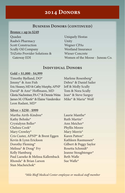# **Business Donors (continued)**

#### **Bronze = up to \$249**

Quadax Raabe's Pharmacy Scott Construction Scully Oil Company TriZetto Provider Solutions & Gateway EDI

Uniquely Hostas Unity Wegner CPAs Westland Insurance Wieser Concrete Women of the Moose - Juneau Co.

### **Individual Donors**

#### **Gold = \$1,000 - \$4,999**

Timothy Bjelland, DO\* Jimmy\* & Ann Fish Eric Heaney, MD & Cathy Murphy, APNP David\* & Ann\* Hoffmann, MD Gloria Nachreiner, PA-C\* & Dennis Weiss James M. O'Keefe\* & Elaine Vanderslice Leon Radant, MD\*

# Marlene Rosenberg\* Debra\* & Daniel Sailer Jeff & Molly Scully Tom & Nora Scully Jean\* & Steve Surguy Mike\* & Maria\* Wolf

#### **Silver = \$250 - \$999**

Martha Airth-Kindree\* Kathy Behnke\* Crystalynn Beller\* Chelsea Cook\* Mary Crowley\* Cris Custer, APNP\* & Brent Eggen Kevin & Lynn Erickson Dorothy Fleming\* Melissa\* & Doug\* Fry Kelly Hamburg Paul Laeseke & Melissa Kallemback Rhonda\* & Brian Larson Stan Macheichok\*

Laurie Manthe\* Ruth Martin\* Ann Meicher\* Phyllis Moore Mary Morris\* Karen Patton\* Kathleen Rasmussen\* Gilbert & Peggy Saylor Rosetta Schmidt\* Jeanne Stoughtenger\* Beth Wafle Sue Wafle $*$ 

*\*Mile Bluff Medical Center employee or medical staff member*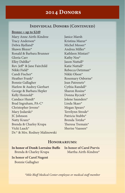### **Individual Donors (Continued)**

**Bronze = up to \$249**

Mary Anne Airth-Kindree Tracy Anderson\* Debra Bjelland\* Shawn Bloyer\* Ronald & Barbara Brunner Gloria Carr Elley Dahlke\* Rev. Jeff\*  $\&$  Jane Fairchild Nikki Field\* Candi Fischer\* Heather Frank\* Bonnie Gallagher Harlow & Audrey Gierhart George & Barbara Hepler Kelly Honnold\* Candace Hundt\* Brad Ingraham, PA-C\* Christopher Jevens\* Mary Jodarski\* JC Johnson Natty Kranz\* Brenda & Charley Krupa Vicki Laack\* Dr.\* & Mrs. Rodney Malinowski

Janice Marsh Kristina Mazur\* Michel Messer\* Andrea Miller\* Kathleen Mintari\* Kathy Noe\* Jason Nuttall\* Katie Nuttall\* Rebecca Oetzman\* Nikki Olson\* Rosemary Osborne\* Jean Patrenets\* Cythia Randall\* Sharon Rosine\* Donna Ryczek\* Jolene Saunders\* Linda Skaer\* Megan Spears\* Terrilynn Strode\* Patricia Stubbs\* Brenda Totzke\* Theresa Tremain<sup>\*</sup> Sherise Vaassen\*

#### **Honorariums:**

**In honor of Don& Lorraine Buffo** Brenda & Charley Krupa

**In honor of Carol Purvis** Martha Airth-Kindree\*

**In honor of Carol Nugent** Bonnie Gallagher

*\*Mile Bluff Medical Center employee or medical staff member*